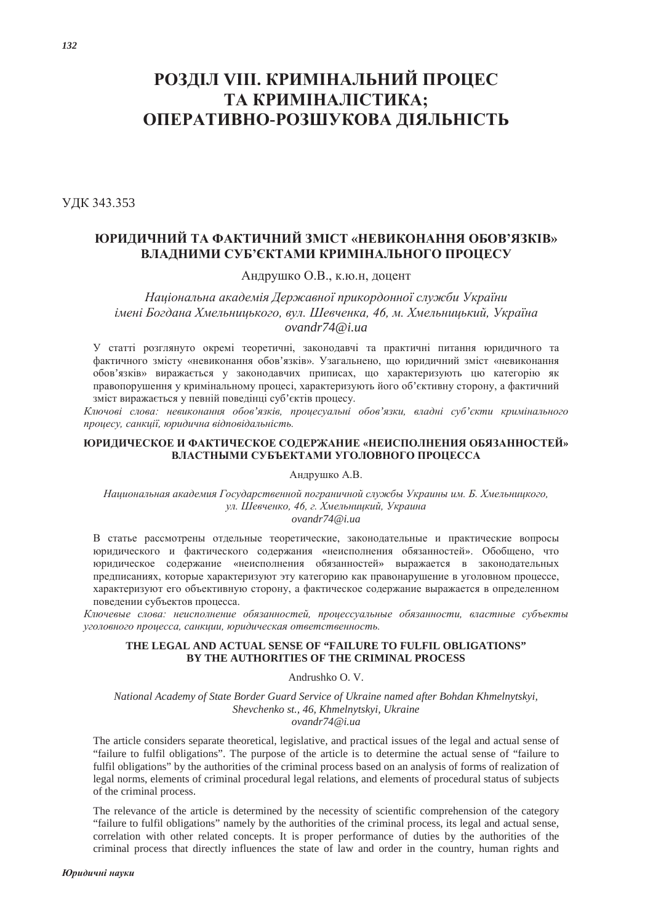# **РОЗДІЛ VIII. КРИМІНАЛЬНИЙ ПРОЦЕС** ТА КРИМІНАЛІСТИКА; ОПЕРАТИВНО-РОЗШУКОВА ДІЯЛЬНІСТЬ

УДК 343.353

# **ЮРИДИЧНИЙ ТА ФАКТИЧНИЙ ЗМІСТ «НЕВИКОНАННЯ ОБОВ'ЯЗКІВ»** ВЛАДНИМИ СУБ'ЄКТАМИ КРИМІНАЛЬНОГО ПРОЦЕСУ

Андрушко О.В., к.ю.н, доцент

Національна академія Державної прикордонної служби України iменi Богдана Хмельницького, вул. Шевченка, 46, м. Хмельницький, Україна *ovandr74@i.ua*

У статті розглянуто окремі теоретичні, законолавчі та практичні питання юриличного та фактичного змісту «невиконання обов'язків». Узагальнено, що юридичний зміст «невиконання обов'язків» виражається у законодавчих приписах, що характеризують цю категорію як правопорушення у кримінальному процесі, характеризують його об'єктивну сторону, а фактичний зміст виражається у певній поведінці суб'єктів процесу.

Ключові слова: невиконання обов'язків, процесуальні обов'язки, владні суб'єкти кримінального процесу, санкції, юридична відповідальність.

#### **• ©ВИДИЧЕСКОЕ И ФАКТИЧЕСКОЕ СОДЕРЖАНИЕ «НЕИСПОЛНЕНИЯ ОБЯЗАННОСТЕЙ** ВЛАСТНЫМИ СУБЪЕКТАМИ УГОЛОВНОГО ПРОЦЕССА

Андрушко А.В.

Национальная академия Государственной пограничной службы Украины им. Б. Хмельницкого, ул. Шевченко, 46, г. Хмельницкий, Украина *ovandr74@i.ua*

В статье рассмотрены отдельные теоретические, законодательные и практические вопросы юридического и фактического содержания «неисполнения обязанностей». Обобщено, что юридическое содержание «неисполнения обязанностей» выражается в законодательных предписаниях, которые характеризуют эту категорию как правонарушение в уголовном процессе, характеризуют его объективную сторону, а фактическое содержание выражается в определенном поведении субъектов процесса.

Ключевые слова: неисполнение обязанностей, процессуальные обязанности, властные субъекты уголовного процесса, санкции, юридическая ответственность.

## **THE LEGAL AND ACTUAL SENSE OF "FAILURE TO FULFIL OBLIGATIONS" BY THE AUTHORITIES OF THE CRIMINAL PROCESS**

Andrushko O. V.

*National Academy of State Border Guard Service of Ukraine named after Bohdan Khmelnytskyi, Shevchenko st., 46, Khmelnytskyi, Ukraine ovandr74@i.ua*

The article considers separate theoretical, legislative, and practical issues of the legal and actual sense of "failure to fulfil obligations". The purpose of the article is to determine the actual sense of "failure to fulfil obligations" by the authorities of the criminal process based on an analysis of forms of realization of legal norms, elements of criminal procedural legal relations, and elements of procedural status of subjects of the criminal process.

The relevance of the article is determined by the necessity of scientific comprehension of the category "failure to fulfil obligations" namely by the authorities of the criminal process, its legal and actual sense, correlation with other related concepts. It is proper performance of duties by the authorities of the criminal process that directly influences the state of law and order in the country, human rights and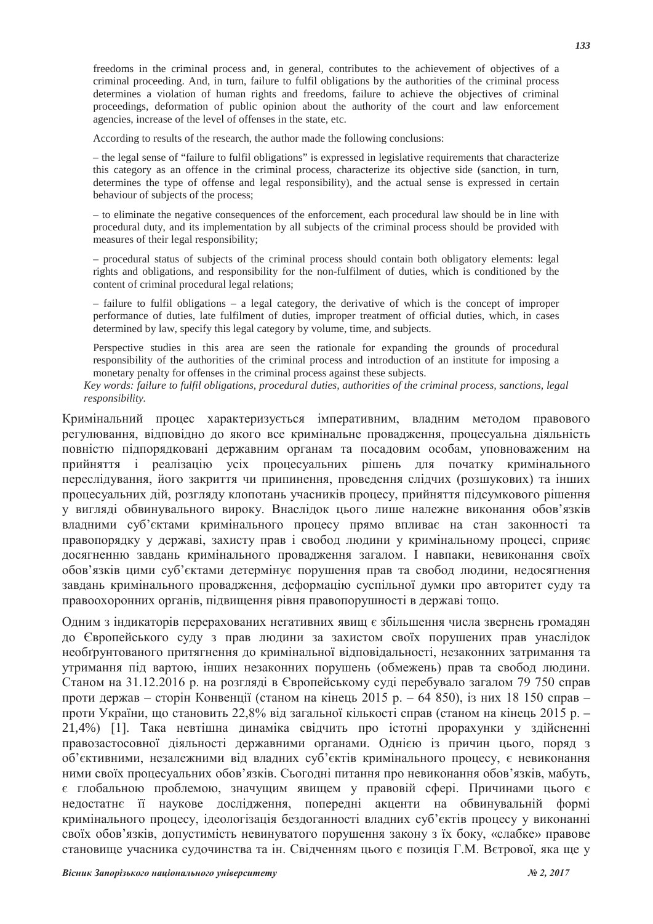freedoms in the criminal process and, in general, contributes to the achievement of objectives of a criminal proceeding. And, in turn, failure to fulfil obligations by the authorities of the criminal process determines a violation of human rights and freedoms, failure to achieve the objectives of criminal proceedings, deformation of public opinion about the authority of the court and law enforcement agencies, increase of the level of offenses in the state, etc.

According to results of the research, the author made the following conclusions:

– the legal sense of "failure to fulfil obligations" is expressed in legislative requirements that characterize this category as an offence in the criminal process, characterize its objective side (sanction, in turn, determines the type of offense and legal responsibility), and the actual sense is expressed in certain behaviour of subjects of the process;

– to eliminate the negative consequences of the enforcement, each procedural law should be in line with procedural duty, and its implementation by all subjects of the criminal process should be provided with measures of their legal responsibility;

– procedural status of subjects of the criminal process should contain both obligatory elements: legal rights and obligations, and responsibility for the non-fulfilment of duties, which is conditioned by the content of criminal procedural legal relations;

– failure to fulfil obligations – a legal category, the derivative of which is the concept of improper performance of duties, late fulfilment of duties, improper treatment of official duties, which, in cases determined by law, specify this legal category by volume, time, and subjects.

Perspective studies in this area are seen the rationale for expanding the grounds of procedural responsibility of the authorities of the criminal process and introduction of an institute for imposing a monetary penalty for offenses in the criminal process against these subjects.

*Key words: failure to fulfil obligations, procedural duties, authorities of the criminal process, sanctions, legal responsibility.*

Кримінальний процес характеризується імперативним, владним методом правового регулювання, відповідно до якого все кримінальне провадження, процесуальна діяльність повністю підпорядковані державним органам та посадовим особам, уповноваженим на прийняття і реалізацію усіх процесуальних рішень для початку кримінального переслідування, його закриття чи припинення, проведення слідчих (розшукових) та інших процесуальних дій, розгляду клопотань учасників процесу, прийняття підсумкового рішення у вигляді обвинувального вироку. Внаслідок цього лише належне виконання обов'язків владними суб'єктами кримінального процесу прямо впливає на стан законності та правопорядку у державі, захисту прав і свобод людини у кримінальному процесі, сприяє досягненню завдань кримінального провадження загалом. І навпаки, невиконання своїх обов'язків цими суб'єктами детермінує порушення прав та свобод людини, недосягнення завдань кримінального провадження, деформацію суспільної думки про авторитет суду та правоохоронних органів, підвищення рівня правопорушності в державі тощо.

Одним з індикаторів перерахованих негативних явищ є збільшення числа звернень громадян до Європейського суду з прав людини за захистом своїх порушених прав унаслідок необгрунтованого притягнення до кримінальної відповідальності, незаконних затримання та утримання під вартою, інших незаконних порушень (обмежень) прав та свобод людини. Станом на 31.12.2016 р. на розгляді в Європейському суді перебувало загалом 79 750 справ проти держав – сторін Конвенції (станом на кінець 2015 р. – 64 850), із них 18 150 справ – проти України, що становить 22,8% від загальної кількості справ (станом на кінець 2015 р. -21,4%) [1]. Така невтішна динаміка свідчить про істотні прорахунки у здійсненні правозастосовної діяльності державними органами. Однією із причин цього, поряд з об'єктивними, незалежними від владних суб'єктів кримінального процесу, є невиконання ними своїх процесуальних обов'язків. Сьогодні питання про невиконання обов'язків, мабуть, € глобальною проблемою, значущим явищем у правовій сфері. Причинами цього є недостатнє її наукове дослідження, попередні акценти на обвинувальній формі кримінального процесу, ідеологізація бездоганності владних суб'єктів процесу у виконанні своїх обов'язків, допустимість невинуватого порушення закону з їх боку, «слабке» правове становище учасника судочинства та ін. Свідченням цього є позиція Г.М. Вєтрової, яка ще у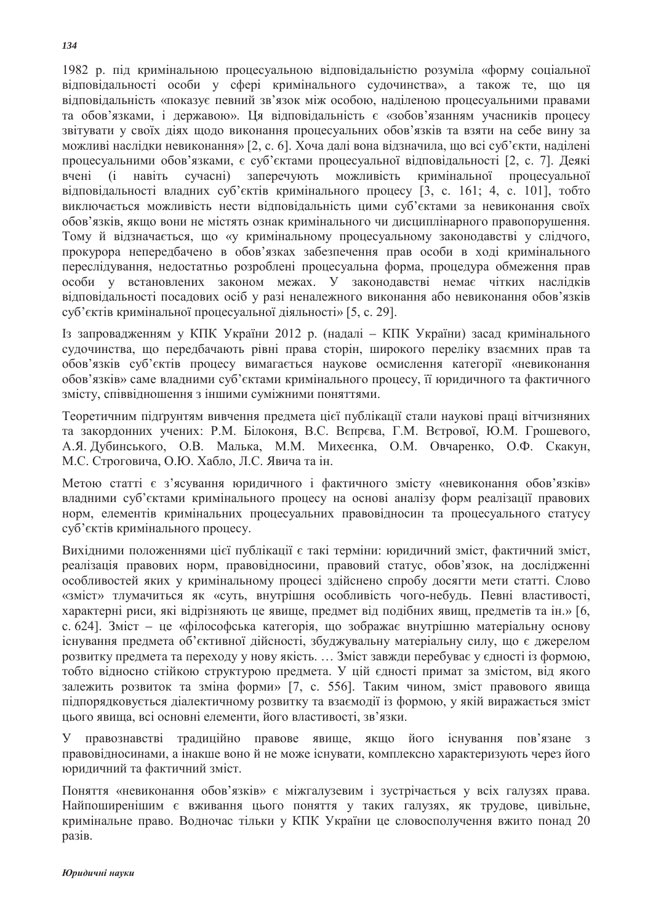1982 р. під кримінальною процесуальною відповідальністю розуміла «форму соціальної відповідальності особи у сфері кримінального судочинства», а також те, що ця відповідальність «показує певний зв'язок між особою, наділеною процесуальними правами та обов'язками, і державою». Ця відповідальність є «зобов'язанням учасників процесу звітувати у своїх діях щодо виконання процесуальних обов'язків та взяти на себе вину за можливі наслідки невиконання» [2, с. 6]. Хоча далі вона відзначила, що всі суб'єкти, наділені процесуальними обов'язками, є суб'єктами процесуальної відповідальності [2, с. 7]. Деякі вчені (і навіть сучасні) заперечують можливість кримінальної процесуальної відповідальності владних суб'єктів кримінального процесу [3, с. 161; 4, с. 101], тобто виключається можливість нести відповідальність цими суб'єктами за невиконання своїх обов'язків, якщо вони не містять ознак кримінального чи дисциплінарного правопорушення. Тому й вілзначається, що «у кримінальному процесуальному законодавстві у слідчого, прокурора непередбачено в обов'язках забезпечення прав особи в ході кримінального переслідування, недостатньо розроблені процесуальна форма, процедура обмеження прав особи у встановлених законом межах. У законодавстві немає чітких наслідків відповідальності посадових осіб у разі неналежного виконання або невиконання обов'язків суб'єктів кримінальної процесуальної діяльності» [5, с. 29].

Із запровадженням у КПК України 2012 р. (надалі – КПК України) засад кримінального судочинства, що передбачають рівні права сторін, широкого переліку взаємних прав та обов'язків суб'єктів процесу вимагається наукове осмислення категорії «невиконання обов'язків» саме владними суб'єктами кримінального процесу, її юридичного та фактичного змісту, співвілношення з іншими суміжними поняттями.

Теоретичним підгрунтям вивчення предмета цієї публікації стали наукові праці вітчизняних та закордонних учених: Р.М. Білоконя, В.С. Вєпрєва, Г.М. Вєтрової, Ю.М. Грошевого, А.Я. Дубинського, О.В. Малька, М.М. Михеєнка, О.М. Овчаренко, О.Ф. Скакун, М.С. Строговича, О.Ю. Хабло, Л.С. Явича та ін.

Метою статті є з'ясування юридичного і фактичного змісту «невиконання обов'язків» владними суб'єктами кримінального процесу на основі аналізу форм реалізації правових норм, елементів кримінальних процесуальних правовідносин та процесуального статусу суб'єктів кримінального процесу.

Вихідними положеннями цієї публікації є такі терміни: юридичний зміст, фактичний зміст, реалізація правових норм, правовідносини, правовий статус, обов'язок, на дослідженні особливостей яких у кримінальному процесі здійснено спробу досягти мети статті. Слово «зміст» тлумачиться як «суть, внутрішня особливість чого-небудь. Певні властивості, характерні риси, які відрізняють це явище, предмет від подібних явищ, предметів та ін.» [6, с. 624]. Зміст – це «філософська категорія, що зображає внутрішню матеріальну основу існування предмета об'єктивної дійсності, збуджувальну матеріальну силу, що є джерелом розвитку предмета та переходу у нову якість. ... Зміст завжди перебуває у єдності із формою, тобто відносно стійкою структурою предмета. У цій єдності примат за змістом, від якого залежить розвиток та зміна форми» [7, с. 556]. Таким чином, зміст правового явища підпорядковується діалектичному розвитку та взаємодії із формою, у якій виражається зміст цього явища, всі основні елементи, його властивості, зв'язки,

У правознавстві традиційно правове явище, якщо його існування пов'язане з правовідносинами, а інакше воно й не може існувати, комплексно характеризують через його юриличний та фактичний зміст.

Поняття «невиконання обов'язків» є міжгалузевим і зустрічається у всіх галузях права. Найпоширенішим є вживання цього поняття у таких галузях, як трудове, цивільне, кримінальне право. Водночас тільки у КПК України це словосполучення вжито понад 20 разів.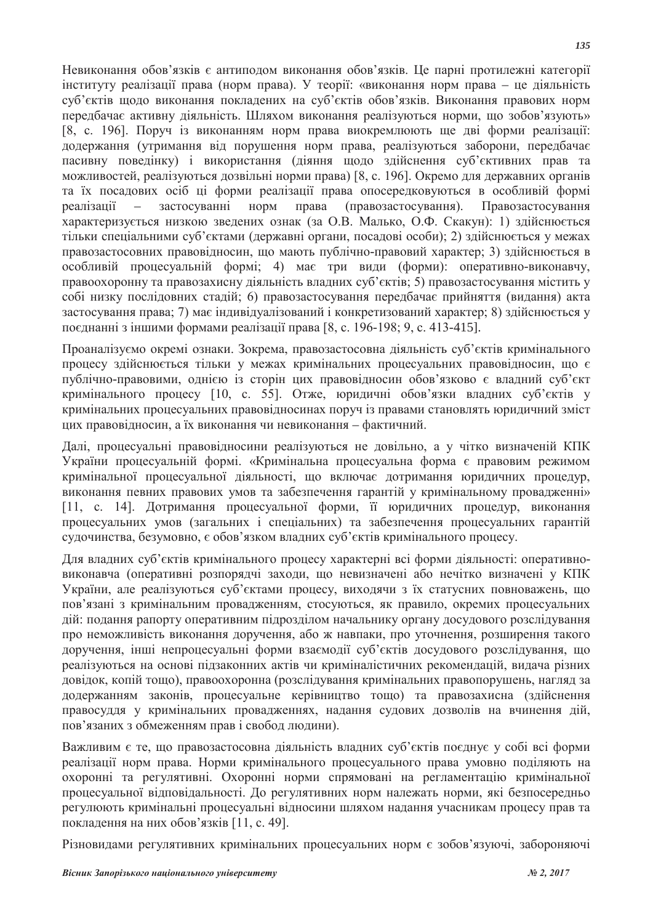Невиконання обов'язків є антиподом виконання обов'язків. Це парні протилежні категорії інституту реалізації права (норм права). У теорії: «виконання норм права – це діяльність суб'єктів щодо виконання покладених на суб'єктів обов'язків. Виконання правових норм перелбачає активну ліяльність. Шляхом виконання реалізуються норми, що зобов'язують»  $[8, c. 196]$ . Поруч із виконанням норм права виокремлюють ще дві форми реалізації: додержання (утримання від порушення норм права, реалізуються заборони, передбачає пасивну поведінку) і використання (діяння щодо здійснення суб'єктивних прав та можливостей, реалізуються дозвільні норми права) [8, с. 196]. Окремо для державних органів та їх посадових осіб ці форми реалізації права опосередковуються в особливій формі реалізації – застосуванні норм права (правозастосування). Правозастосування характеризується низкою зведених ознак (за О.В. Малько, О.Ф. Скакун): 1) здійснюється тільки спеціальними суб'єктами (державні органи, посалові особи); 2) злійснюється у межах правозастосовних правовідносин, що мають публічно-правовий характер; 3) здійснюється в особливій процесуальній формі; 4) має три види (форми): оперативно-виконавчу, правоохоронну та правозахисну діяльність владних суб'єктів; 5) правозастосування містить у собі низку послідовних стадій; 6) правозастосування передбачає прийняття (видання) акта застосування права; 7) має індивідуалізований і конкретизований характер; 8) здійснюється у поєднанні з іншими формами реалізації права [8, с. 196-198; 9, с. 413-415].

Проаналізуємо окремі ознаки. Зокрема, правозастосовна діяльність суб'єктів кримінального процесу здійснюється тільки у межах кримінальних процесуальних правовідносин, що є публічно-правовими, олнією із сторін цих правовілносин обов'язково є влалний суб'єкт кримінального процесу [10, с. 55]. Отже, юридичні обов'язки владних суб'єктів у кримінальних процесуальних правовідносинах поруч із правами становлять юридичний зміст цих правовідносин, а їх виконання чи невиконання – фактичний.

Далі, процесуальні правовідносини реалізуються не довільно, а у чітко визначеній КПК України процесуальній формі. «Кримінальна процесуальна форма є правовим режимом кримінальної процесуальної ліяльності, що включає лотримання юриличних процелур, виконання певних правових умов та забезпечення гарантій у кримінальному провадженні» [11, с. 14]. Дотримання процесуальної форми, її юридичних процедур, виконання процесуальних умов (загальних і спеціальних) та забезпечення процесуальних гарантій судочинства, безумовно, є обов'язком владних суб'єктів кримінального процесу.

Для влалних суб'єктів кримінального процесу характерні всі форми ліяльності: оперативновиконавча (оперативні розпорядчі заходи, що невизначені або нечітко визначені у КПК України, але реалізуються суб'єктами процесу, виходячи з їх статусних повноважень, що пов'язані з кримінальним провадженням, стосуються, як правило, окремих процесуальних дій: подання рапорту оперативним підрозділом начальнику органу досудового розслідування про неможливість виконання доручення, або ж навпаки, про уточнення, розширення такого доручення, інші непроцесуальні форми взаємодії суб'єктів досудового розслідування, що реалізуються на основі підзаконних актів чи криміналістичних рекомендацій, видача різних довідок, копій тощо), правоохоронна (розслідування кримінальних правопорушень, нагляд за додержанням законів, процесуальне керівництво тощо) та правозахисна (здійснення правосуддя у кримінальних провадженнях, надання судових дозволів на вчинення дій, пов'язаних з обмеженням прав і свобод людини).

Важливим є те, що правозастосовна діяльність владних суб'єктів поєднує у собі всі форми реалізації норм права. Норми кримінального процесуального права умовно поділяють на охоронні та регулятивні. Охоронні норми спрямовані на регламентацію кримінальної процесуальної відповідальності. До регулятивних норм належать норми, які безпосередньо регулюють кримінальні процесуальні відносини шляхом надання учасникам процесу прав та покладення на них обов'язків [11, с. 49].

Різновидами регулятивних кримінальних процесуальних норм є зобов'язуючі, забороняючі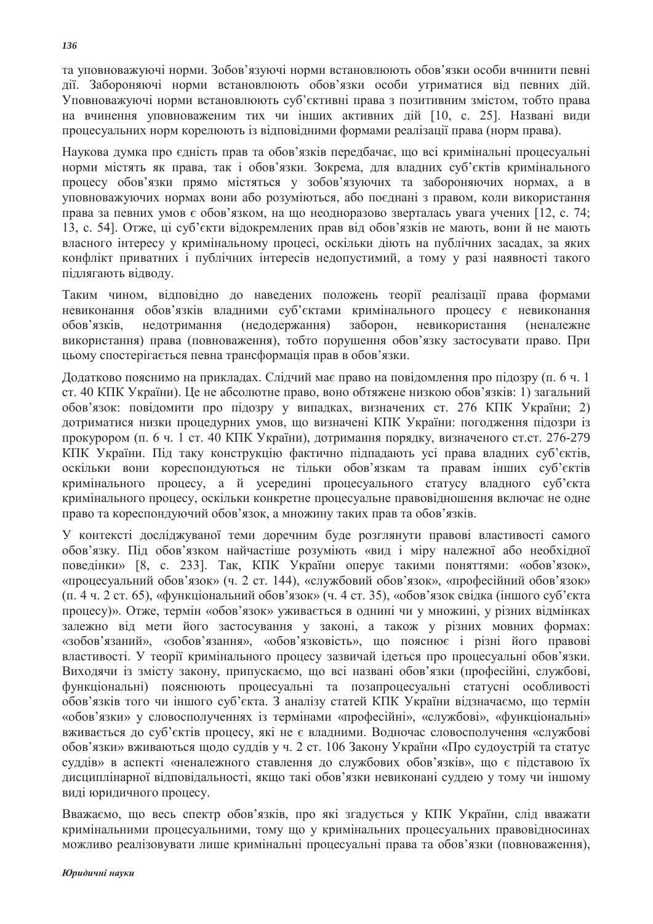та уповноважуючі норми. Зобов'язуючі норми встановлюють обов'язки особи вчинити певні дії. Забороняючі норми встановлюють обов'язки особи утриматися від певних дій. Уповноважуючі норми встановлюють суб'єктивні права з позитивним змістом, тобто права на вчинення уповноваженим тих чи інших активних лій [10, с. 25]. Названі вили процесуальних норм корелюють із відповідними формами реалізації права (норм права).

Наукова думка про єдність прав та обов'язків передбачає, що всі кримінальні процесуальні норми містять як права, так і обов'язки. Зокрема, для владних суб'єктів кримінального процесу обов'язки прямо містяться у зобов'язуючих та забороняючих нормах, а в уповноважуючих нормах вони або розуміються, або поєднані з правом, коли використання права за певних умов є обов'язком, на що неодноразово зверталась увага учених [12, с. 74; 13, с. 54, Отже, ці суб'єкти відокремлених прав від обов'язків не мають, вони й не мають власного інтересу у кримінальному процесі, оскільки діють на публічних засадах, за яких конфлікт приватних і публічних інтересів недопустимий, а тому у разі наявності такого підлягають відводу.

Таким чином, відповідно до наведених положень теорії реалізації права формами невиконання обов'язків владними суб'єктами кримінального процесу є невиконання обов'язків, недотримання (недодержання) заборон, невикористання (неналежне використання) права (повноваження), тобто порушення обов'язку застосувати право. При цьому спостерігається певна трансформація прав в обов'язки.

Додатково пояснимо на прикладах. Слідчий має право на повідомлення про підозру (п. 6 ч. 1 ст. 40 КПК України). Це не абсолютне право, воно обтяжене низкою обов'язків: 1) загальний обов'язок: повідомити про підозру у випадках, визначених ст. 276 КПК України; 2) дотриматися низки процедурних умов, що визначені КПК України: погодження підозри із прокурором (п. 6 ч. 1 ст. 40 КПК України), дотримання порядку, визначеного ст.ст. 276-279 КПК України. Під таку конструкцію фактично підпадають усі права владних суб'єктів, оскільки вони кореспондуються не тільки обов'язкам та правам інших суб'єктів кримінального процесу, а й усередині процесуального статусу владного суб'єкта кримінального процесу, оскільки конкретне процесуальне правовідношення включає не одне право та кореспондуючий обов'язок, а множину таких прав та обов'язків.

У контексті досліджуваної теми доречним буде розглянути правові властивості самого обов'язку. Під обов'язком найчастіше розуміють «вид і міру належної або необхідної поведінки» [8, с. 233]. Так, КПК України оперує такими поняттями: «обов'язок», «процесуальний обов'язок» (ч. 2 ст. 144), «службовий обов'язок», «професійний обов'язок»  $(\pi, 4, 4, 2, \text{ct}, 65)$ , «функціональний обов'язок» (ч. 4 ст. 35), «обов'язок свідка (іншого суб'єкта процесу)». Отже, термін «обов'язок» уживається в однині чи у множині, у різних відмінках залежно від мети його застосування у законі, а також у різних мовних формах: «зобов'язаний», «зобов'язання», «обов'язковість», що пояснює і різні його правові властивості. У теорії кримінального процесу зазвичай ідеться про процесуальні обов'язки. Виходячи із змісту закону, припускаємо, що всі названі обов'язки (професійні, службові, функціональні) пояснюють процесуальні та позапроцесуальні статусні особливості обов'язків того чи іншого суб'єкта. З аналізу статей КПК України відзначаємо, що термін «обов'язки» у словосполученнях із термінами «професійні», «службові», «функціональні» вживається до суб'єктів процесу, які не є владними. Водночас словосполучення «службові обов'язки» вживаються щодо суддів у ч. 2 ст. 106 Закону України «Про судоустрій та статус суддів» в аспекті «неналежного ставлення до службових обов'язків», що є підставою їх дисциплінарної відповідальності, якщо такі обов'язки невиконані суддею у тому чи іншому виді юридичного процесу.

Вважаємо, що весь спектр обов'язків, про які згадується у КПК України, слід вважати кримінальними процесуальними, тому що у кримінальних процесуальних правовідносинах можливо реалізовувати лише кримінальні процесуальні права та обов'язки (повноваження),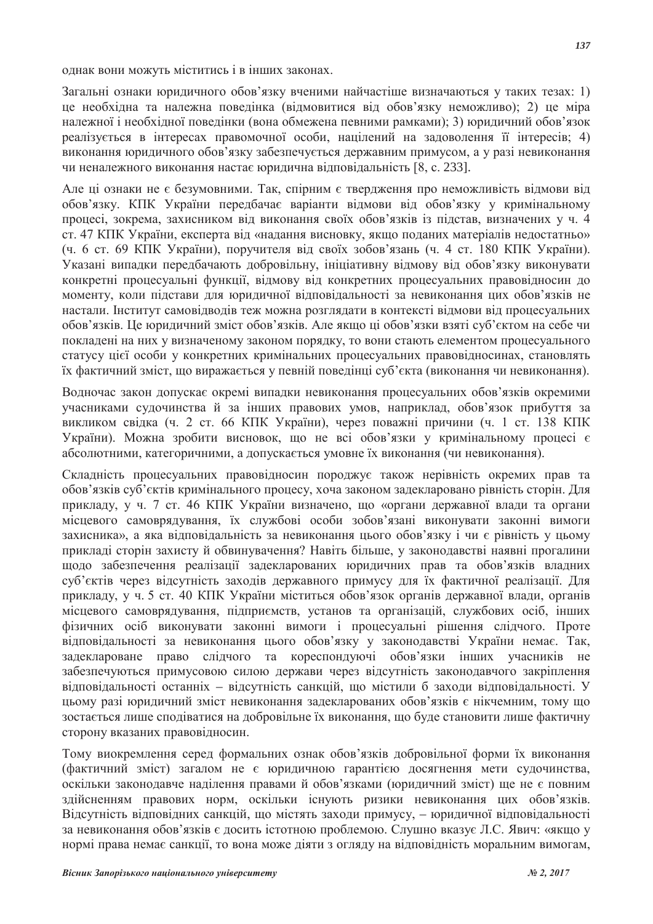однак вони можуть міститись і в інших законах.

Загальні ознаки юриличного обов'язку вченими найчастіше визначаються у таких тезах: 1) це необхідна та належна поведінка (відмовитися від обов'язку неможливо); 2) це міра належної і необхідної поведінки (вона обмежена певними рамками); 3) юридичний обов'язок реалізується в інтересах правомочної особи, націлений на задоволення її інтересів; 4) виконання юридичного обов'язку забезпечується державним примусом, а у разі невиконання чи неналежного виконання настає юрилична вілповілальність [8, с. 233].

Але ці ознаки не є безумовними. Так, спірним є твердження про неможливість відмови від обов'язку. КПК України передбачає варіанти відмови від обов'язку у кримінальному процесі, зокрема, захисником від виконання своїх обов'язків із підстав, визначених у ч. 4 ст. 47 КПК України, експерта від «надання висновку, якщо поданих матеріалів недостатньо» (ч. 6 ст. 69 КПК України), поручителя від своїх зобов'язань (ч. 4 ст. 180 КПК України). Указані випадки передбачають добровільну, ініціативну відмову від обов'язку виконувати конкретні процесуальні функції, відмову від конкретних процесуальних правовідносин до моменту, коли пілстави для юриличної вілповілальності за невиконання цих обов'язків не настали. Інститут самовідводів теж можна розглядати в контексті відмови від процесуальних обов'язків. Це юридичний зміст обов'язків. Але якщо ці обов'язки взяті суб'єктом на себе чи покладені на них у визначеному законом порядку, то вони стають елементом процесуального статусу цієї особи у конкретних кримінальних процесуальних правовідносинах, становлять їх фактичний зміст, що виражається у певній поведінці суб'єкта (виконання чи невиконання).

Водночас закон допускає окремі випадки невиконання процесуальних обов'язків окремими учасниками судочинства й за інших правових умов, наприклад, обов'язок прибуття за викликом свідка (ч. 2 ст. 66 КПК України), через поважні причини (ч. 1 ст. 138 КПК України). Можна зробити висновок, що не всі обов'язки у кримінальному процесі є абсолютними, категоричними, а допускається умовне їх виконання (чи невиконання).

Складність процесуальних правовідносин породжує також нерівність окремих прав та обов'язків суб'єктів кримінального процесу, хоча законом задекларовано рівність сторін. Для прикладу, у ч. 7 ст. 46 КПК України визначено, що «органи державної влади та органи місцевого самоврядування, їх службові особи зобов'язані виконувати законні вимоги захисника», а яка вілповілальність за невиконання цього обов'язку і чи є рівність у цьому прикладі сторін захисту й обвинувачення? Навіть більше, у законодавстві наявні прогалини щодо забезпечення реалізації задекларованих юридичних прав та обов'язків владних суб'єктів через відсутність заходів державного примусу для їх фактичної реалізації. Для прикладу, у ч. 5 ст. 40 КПК України міститься обов'язок органів державної влади, органів місцевого самоврядування, підприємств, установ та організацій, службових осіб, інших фізичних осіб виконувати законні вимоги і процесуальні рішення слідчого. Проте відповідальності за невиконання цього обов'язку у законодавстві України немає. Так, задеклароване право слідчого та кореспондуючі обов'язки інших учасників не забезпечуються примусовою силою держави через відсутність законодавчого закріплення відповідальності останніх – відсутність санкцій, що містили б заходи відповідальності. У цьому разі юридичний зміст невиконання задекларованих обов'язків є нікчемним, тому що зостається лише споліватися на лобровільне їх виконання, що буле становити лише фактичну сторону вказаних правовідносин.

Тому виокремлення серед формальних ознак обов'язків добровільної форми їх виконання (фактичний зміст) загалом не є юридичною гарантією досягнення мети судочинства, оскільки законодавче наділення правами й обов'язками (юридичний зміст) ще не є повним злійсненням правових норм, оскільки існують ризики невиконання цих обов'язків. Відсутність відповідних санкцій, що містять заходи примусу, – юридичної відповідальності за невиконання обов'язків є досить істотною проблемою. Слушно вказує Л.С. Явич: «якщо у нормі права немає санкції, то вона може діяти з огляду на відповідність моральним вимогам,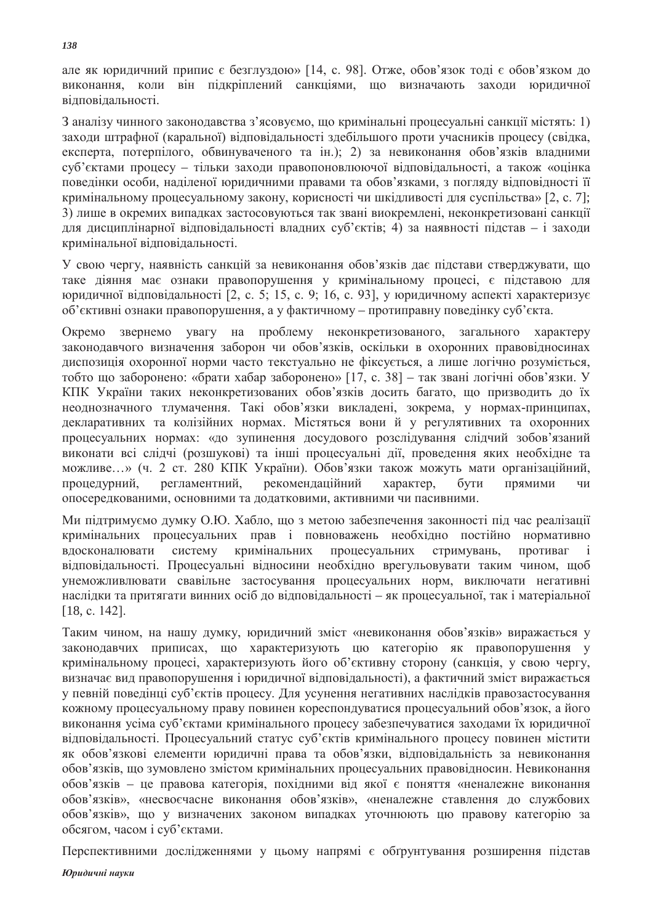але як юридичний припис  $\epsilon$  безглуздою» [14, с. 98]. Отже, обов'язок тоді  $\epsilon$  обов'язком до виконання, коли він підкріплений санкціями, що визначають заходи юридичної відповідальності.

З аналізу чинного законодавства з'ясовуємо, що кримінальні процесуальні санкції містять: 1) заходи штрафної (каральної) відповідальності здебільшого проти учасників процесу (свідка, експерта, потерпілого, обвинуваченого та ін.); 2) за невиконання обов'язків владними суб'єктами процесу – тільки заходи правопоновлюючої відповідальності, а також «оцінка поведінки особи, наділеної юридичними правами та обов'язками, з погляду відповідності її кримінальному процесуальному закону, корисності чи шкідливості для суспільства» [2, с. 7]; 3) лише в окремих випадках застосовуються так звані виокремлені, неконкретизовані санкції для дисциплінарної відповідальності владних суб'єктів; 4) за наявності підстав – і заходи кримінальної відповідальності.

У свою чергу, наявність санкцій за невиконання обов'язків дає підстави стверджувати, що таке діяння має ознаки правопорушення у кримінальному процесі, є підставою для юридичної відповідальності [2, с. 5; 15, с. 9; 16, с. 93], у юридичному аспекті характеризує об'єктивні ознаки правопорушення, а у фактичному – протиправну поведінку суб'єкта.

Окремо звернемо увагу на проблему неконкретизованого, загального характеру законодавчого визначення заборон чи обов'язків, оскільки в охоронних правовідносинах диспозиція охоронної норми часто текстуально не фіксується, а лише логічно розуміється, тобто що заборонено: «брати хабар заборонено» [17, с. 38] - так звані логічні обов'язки. У КПК України таких неконкретизованих обов'язків досить багато, що призводить до їх неоднозначного тлумачення. Такі обов'язки викладені, зокрема, у нормах-принципах, декларативних та колізійних нормах. Містяться вони й у регулятивних та охоронних процесуальних нормах: «до зупинення досудового розслідування слідчий зобов'язаний виконати всі слідчі (розшукові) та інші процесуальні дії, проведення яких необхідне та можливе...» (ч. 2 ст. 280 КПК України). Обов'язки також можуть мати організаційний, процедурний, регламентний, рекомендаційний характер, бути прямими чи опосередкованими, основними та додатковими, активними чи пасивними.

Ми підтримуємо думку О.Ю. Хабло, що з метою забезпечення законності під час реалізації кримінальних процесуальних прав і повноважень необхідно постійно нормативно вдосконалювати систему кримінальних процесуальних стримувань, противаг і відповідальності. Процесуальні відносини необхідно врегульовувати таким чином, щоб унеможливлювати свавільне застосування процесуальних норм, виключати негативні наслідки та притягати винних осіб до відповідальності - як процесуальної, так і матеріальної  $[18, c. 142]$ .

Таким чином, на нашу думку, юридичний зміст «невиконання обов'язків» виражається у законодавчих приписах, що характеризують цю категорію як правопорушення у кримінальному процесі, характеризують його об'єктивну сторону (санкція, у свою чергу, визначає вид правопорушення і юридичної відповідальності), а фактичний зміст виражається у певній поведінці суб'єктів процесу. Для усунення негативних наслідків правозастосування кожному процесуальному праву повинен кореспондуватися процесуальний обов'язок, а його виконання усіма суб'єктами кримінального процесу забезпечуватися заходами їх юридичної відповідальності. Процесуальний статус суб'єктів кримінального процесу повинен містити як обов'язкові елементи юридичні права та обов'язки, відповідальність за невиконання обов'язків, що зумовлено змістом кримінальних процесуальних правовідносин. Невиконання обов'язків – це правова категорія, похідними від якої є поняття «неналежне виконання обов'язків», «несвоєчасне виконання обов'язків», «неналежне ставлення до службових обов'язків», що у визначених законом випадках уточнюють цю правову категорію за обсягом, часом і суб'єктами.

Перспективними дослідженнями у цьому напрямі є обґрунтування розширення підстав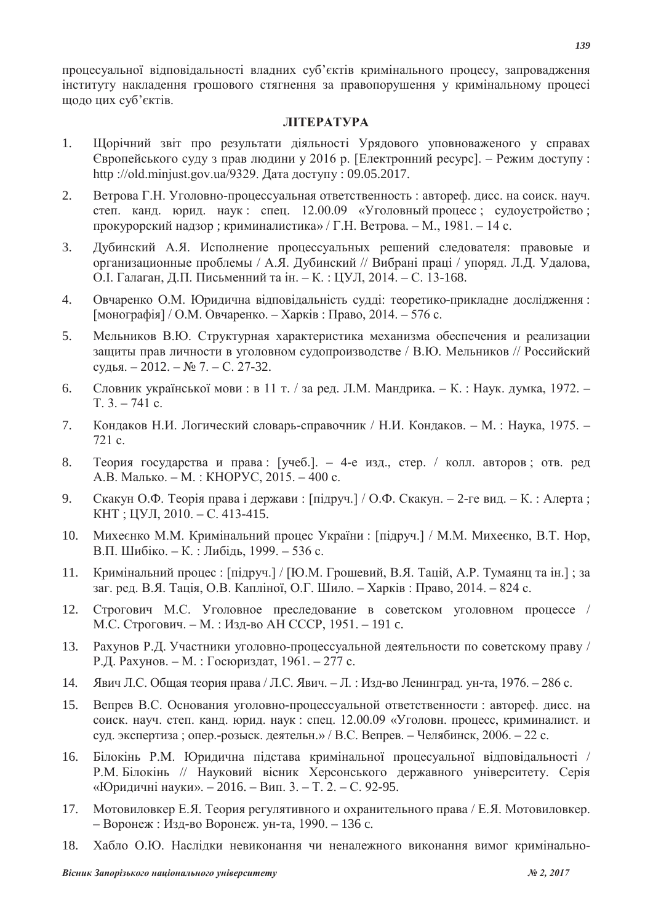процесуальної відповідальності владних суб'єктів кримінального процесу, запровадження інституту накладення грошового стягнення за правопорушення у кримінальному процесі щодо цих суб'єктів.

# **JIITEPATYPA**

- 1. Щорічний звіт про результати діяльності Урядового уповноваженого у справах Європейського суду з прав людини у 2016 р. [Електронний ресурс]. – Режим доступу: http ://old.minjust.gov.ua/9329. Дата доступу : 09.05.2017.
- 2. Ветрова Г.Н. Уголовно-процессуальная ответственность : автореф. дисс. на соиск. науч. степ. канд. юрид. наук: спец. 12.00.09 «Уголовный процесс; судоустройство; прокурорский надзор; криминалистика» / Г.Н. Ветрова. – М., 1981. – 14 с.
- 3. Дубинский А.Я. Исполнение процессуальных решений следователя: правовые и организационные проблемы / А.Я. Дубинский // Вибрані праці / упоряд. Л.Д. Удалова, О. І. Галаган, Д.П. Письменний та ін. – К.: ЦУЛ, 2014. – С. 13-168.
- 4. Овчаренко О.М. Юридична відповідальність судді: теоретико-прикладне дослідження:  $[$ монографія $]$  / О.М. Овчаренко. – Харків : Право, 2014. – 576 с.
- 5. Мельников В.Ю. Структурная характеристика механизма обеспечения и реализации защиты прав личности в уголовном судопроизводстве / В.Ю. Мельников // Российский судья.  $-2012 - N_2$  7.  $-$  С. 27-32.
- 6. Словник української мови: в 11 т. / за ред. Л.М. Мандрика. К.: Наук. думка, 1972.  $T, 3, -741$  c.
- 7. Кондаков Н.И. Логический словарь-справочник / Н.И. Кондаков. М.: Наука, 1975. - $721c$
- 8. Теория государства и права: [учеб.]. 4-е изд., стер. / колл. авторов; отв. ред А.В. Малько. - М.: КНОРУС, 2015. - 400 с.
- 9. Скакун О.Ф. Теорія права і держави: [підруч.] / О.Ф. Скакун. 2-ге вид. К.: Алерта;  $KHT$ ;  $IIVJI$ ,  $2010$ . - C. 413-415.
- 10. Михеєнко М.М. Кримінальний процес України : [пілруч.] / М.М. Михеєнко, В.Т. Нор. В.П. Шибіко. – К.: Либідь, 1999. – 536 с.
- 11. Кримінальний процес: [підруч.] / [Ю.М. Грошевий, В.Я. Тацій, А.Р. Тумаянц та ін.]; за заг. ред. В.Я. Тація, О.В. Капліної, О.Г. Шило. – Харків: Право, 2014. – 824 с.
- 12. Строгович М.С. Уголовное преследование в советском уголовном процессе / М.С. Строгович. – М.: Изд-во АН СССР. 1951. – 191 с.
- 13. Рахунов Р.Д. Участники уголовно-процессуальной деятельности по советскому праву / Р.Д. Рахунов. – М.: Госюриздат, 1961. – 277 с.
- 14. Явич Л.С. Общая теория права / Л.С. Явич. Л.: Изд-во Ленинград. ун-та, 1976. 286 с.
- 15. Вепрев В.С. Основания уголовно-процессуальной ответственности : автореф. дисс. на соиск. науч. степ. канд. юрид. наук: спец.  $12.00.09$  «Уголовн. процесс, криминалист, и суд. экспертиза; опер.-розыск. деятельн.» / В.С. Вепрев. – Челябинск, 2006. – 22 с.
- 16. Білокінь Р.М. Юридична підстава кримінальної процесуальної відповідальності / Р.М. Білокінь // Науковий вісник Херсонського державного університету. Серія «Юридичні науки». – 2016. – Вип. 3. – Т. 2. – С. 92-95.
- 17. Мотовиловкер Е.Я. Теория регулятивного и охранительного права / Е.Я. Мотовиловкер. – Воронеж : Изд-во Воронеж. ун-та, 1990. – 136 с.
- 18. Хабло О.Ю. Наслідки невиконання чи неналежного виконання вимог кримінально-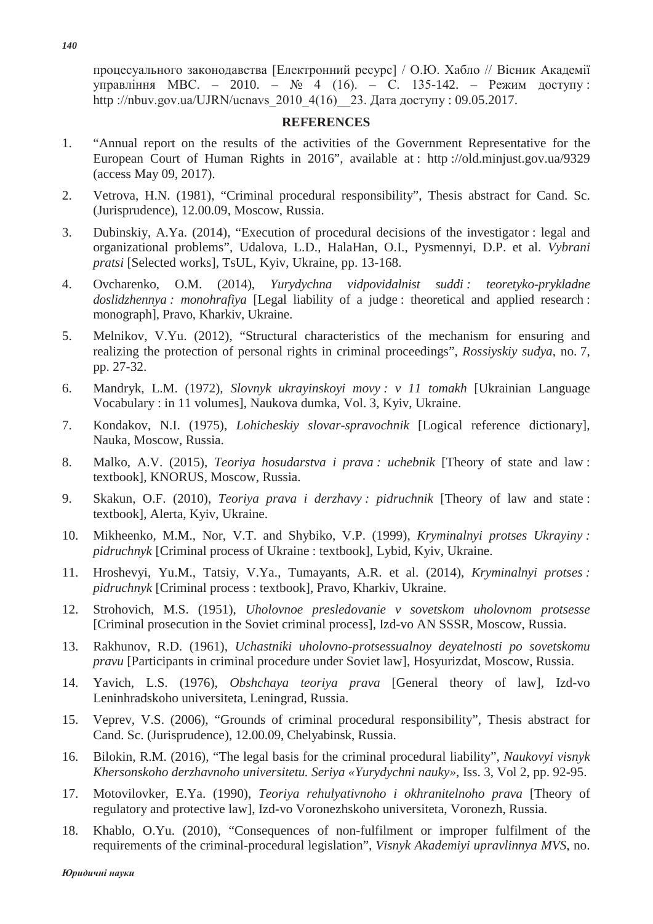процесуального законодавства [Електронний ресурс] / О.Ю. Хабло // Вісник Академії управління МВС. − 2010. – № 4 (16). – С. 135-142. – Режим доступу: http://nbuv.gov.ua/UJRN/ucnavs 2010  $4(16)$  23. Дата доступу: 09.05.2017.

## **REFERENCES**

- 1. "Annual report on the results of the activities of the Government Representative for the European Court of Human Rights in 2016", available at : http ://old.minjust.gov.ua/9329 (access May 09, 2017).
- 2. Vetrova, H.N. (1981), "Criminal procedural responsibility", Thesis abstract for Cand. Sc. (Jurisprudence), 12.00.09, Moscow, Russia.
- 3. Dubinskiy, A.Ya. (2014), "Execution of procedural decisions of the investigator : legal and organizational problems", Udalova, L.D., HalaHan, O.I., Pysmennyi, D.P. et al. *Vybrani pratsi* [Selected works], TsUL, Kyiv, Ukraine, pp. 13-168.
- 4. Ovcharenko, O.M. (2014), *Yurydychna vidpovidalnist suddi : teoretyko-prykladne doslidzhennya : monohrafiya* [Legal liability of a judge : theoretical and applied research : monograph], Pravo, Kharkiv, Ukraine.
- 5. Melnikov, V.Yu. (2012), "Structural characteristics of the mechanism for ensuring and realizing the protection of personal rights in criminal proceedings", *Rossiyskiy sudya*, no. 7, pp. 27-32.
- 6. Mandryk, L.M. (1972), *Slovnyk ukrayinskoyi movy : v 11 tomakh* [Ukrainian Language Vocabulary : in 11 volumes], Naukova dumka, Vol. 3, Kyiv, Ukraine.
- 7. Kondakov, N.I. (1975), *Lohicheskiy slovar-spravochnik* [Logical reference dictionary], Nauka, Moscow, Russia.
- 8. Malko, A.V. (2015), *Teoriya hosudarstva i prava : uchebnik* [Theory of state and law : textbook], KNORUS, Moscow, Russia.
- 9. Skakun, O.F. (2010), *Teoriya prava i derzhavy : pidruchnik* [Theory of law and state : textbook], Alerta, Kyiv, Ukraine.
- 10. Mikheenko, M.M., Nor, V.T. and Shybiko, V.P. (1999), *Kryminalnyi protses Ukrayiny : pidruchnyk* [Criminal process of Ukraine : textbook], Lybid, Kyiv, Ukraine.
- 11. Hroshevyi, Yu.M., Tatsiy, V.Ya., Tumayants, A.R. et al. (2014), *Kryminalnyi protses : pidruchnyk* [Criminal process : textbook], Pravo, Kharkiv, Ukraine.
- 12. Strohovich, M.S. (1951), *Uholovnoe presledovanie v sovetskom uholovnom protsesse* [Criminal prosecution in the Soviet criminal process], Izd-vo AN SSSR, Moscow, Russia.
- 13. Rakhunov, R.D. (1961), *Uchastniki uholovno-protsessualnoy deyatelnosti po sovetskomu pravu* [Participants in criminal procedure under Soviet law], Hosyurizdat, Moscow, Russia.
- 14. Yavich, L.S. (1976), *Obshchaya teoriya prava* [General theory of law], Izd-vo Leninhradskoho universiteta, Leningrad, Russia.
- 15. Veprev, V.S. (2006), "Grounds of criminal procedural responsibility", Thesis abstract for Cand. Sc. (Jurisprudence), 12.00.09, Chelyabinsk, Russia.
- 16. Bilokin, R.M. (2016), "The legal basis for the criminal procedural liability", *Naukovyi visnyk Khersonskoho derzhavnoho universitetu. Seriya «Yurydychni nauky»*, Iss. 3, Vol 2, pp. 92-95.
- 17. Motovilovker, E.Ya. (1990), *Teoriya rehulyativnoho i okhranitelnoho prava* [Theory of regulatory and protective law], Izd-vo Voronezhskoho universiteta, Voronezh, Russia.
- 18. Khablo, O.Yu. (2010), "Consequences of non-fulfilment or improper fulfilment of the requirements of the criminal-procedural legislation", *Visnyk Akademiyi upravlinnya MVS*, no.